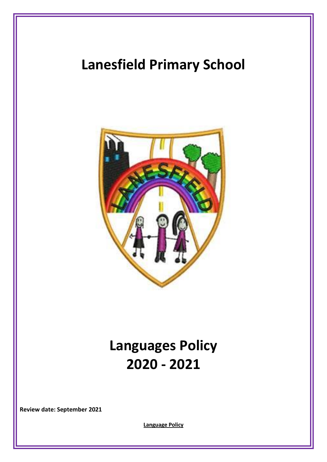## **Lanesfield Primary School**



# **Languages Policy 2020 - 2021**

**Review date: September 2021**

**Language Policy**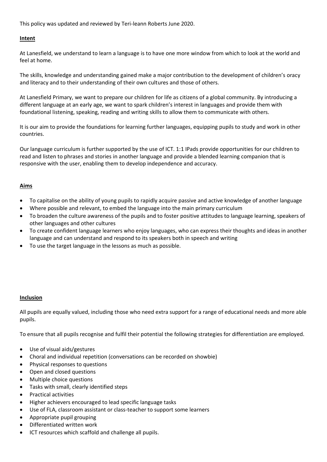This policy was updated and reviewed by Teri-leann Roberts June 2020.

## **Intent**

At Lanesfield, we understand to learn a language is to have one more window from which to look at the world and feel at home.

The skills, knowledge and understanding gained make a major contribution to the development of children's oracy and literacy and to their understanding of their own cultures and those of others.

At Lanesfield Primary, we want to prepare our children for life as citizens of a global community. By introducing a different language at an early age, we want to spark children's interest in languages and provide them with foundational listening, speaking, reading and writing skills to allow them to communicate with others.

It is our aim to provide the foundations for learning further languages, equipping pupils to study and work in other countries.

Our language curriculum is further supported by the use of ICT. 1:1 IPads provide opportunities for our children to read and listen to phrases and stories in another language and provide a blended learning companion that is responsive with the user, enabling them to develop independence and accuracy.

## **Aims**

- To capitalise on the ability of young pupils to rapidly acquire passive and active knowledge of another language
- Where possible and relevant, to embed the language into the main primary curriculum
- To broaden the culture awareness of the pupils and to foster positive attitudes to language learning, speakers of other languages and other cultures
- To create confident language learners who enjoy languages, who can express their thoughts and ideas in another language and can understand and respond to its speakers both in speech and writing
- To use the target language in the lessons as much as possible.

### **Inclusion**

All pupils are equally valued, including those who need extra support for a range of educational needs and more able pupils.

To ensure that all pupils recognise and fulfil their potential the following strategies for differentiation are employed.

- Use of visual aids/gestures
- Choral and individual repetition (conversations can be recorded on showbie)
- Physical responses to questions
- Open and closed questions
- Multiple choice questions
- Tasks with small, clearly identified steps
- Practical activities
- Higher achievers encouraged to lead specific language tasks
- Use of FLA, classroom assistant or class-teacher to support some learners
- Appropriate pupil grouping
- Differentiated written work
- ICT resources which scaffold and challenge all pupils.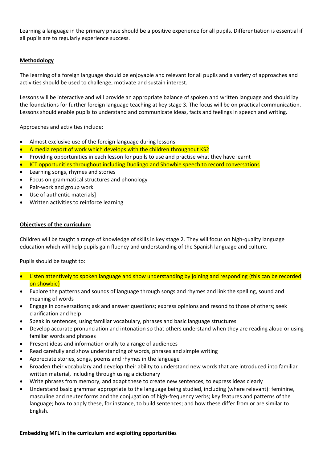Learning a language in the primary phase should be a positive experience for all pupils. Differentiation is essential if all pupils are to regularly experience success.

## **Methodology**

The learning of a foreign language should be enjoyable and relevant for all pupils and a variety of approaches and activities should be used to challenge, motivate and sustain interest.

Lessons will be interactive and will provide an appropriate balance of spoken and written language and should lay the foundations for further foreign language teaching at key stage 3. The focus will be on practical communication. Lessons should enable pupils to understand and communicate ideas, facts and feelings in speech and writing.

Approaches and activities include:

- Almost exclusive use of the foreign language during lessons
- A media report of work which develops with the children throughout KS2
- Providing opportunities in each lesson for pupils to use and practise what they have learnt
- ICT opportunities throughout including Duolingo and Showbie speech to record conversations
- Learning songs, rhymes and stories
- Focus on grammatical structures and phonology
- Pair-work and group work
- Use of authentic materials]
- Written activities to reinforce learning

## **Objectives of the curriculum**

Children will be taught a range of knowledge of skills in key stage 2. They will focus on high-quality language education which will help pupils gain fluency and understanding of the Spanish language and culture.

Pupils should be taught to:

- Listen attentively to spoken language and show understanding by joining and responding (this can be recorded on showbie)
- Explore the patterns and sounds of language through songs and rhymes and link the spelling, sound and meaning of words
- Engage in conversations; ask and answer questions; express opinions and resond to those of others; seek clarification and help
- Speak in sentences, using familiar vocabulary, phrases and basic language structures
- Develop accurate pronunciation and intonation so that others understand when they are reading aloud or using familiar words and phrases
- Present ideas and information orally to a range of audiences
- Read carefully and show understanding of words, phrases and simple writing
- Appreciate stories, songs, poems and rhymes in the language
- Broaden their vocabulary and develop their ability to understand new words that are introduced into familiar written material, including through using a dictionary
- Write phrases from memory, and adapt these to create new sentences, to express ideas clearly
- Understand basic grammar appropriate to the language being studied, including (where relevant): feminine, masculine and neuter forms and the conjugation of high-frequency verbs; key features and patterns of the language; how to apply these, for instance, to build sentences; and how these differ from or are similar to English.

### **Embedding MFL in the curriculum and exploiting opportunities**